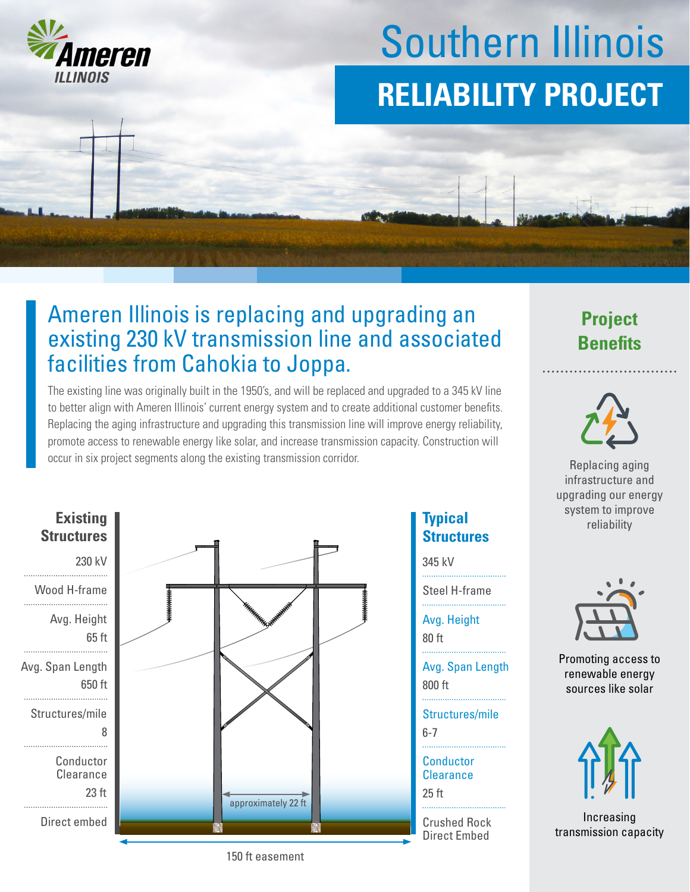

# Southern Illinois **RELIABILITY PROJECT**

## Ameren Illinois is replacing and upgrading an existing 230 kV transmission line and associated facilities from Cahokia to Joppa.

The existing line was originally built in the 1950's, and will be replaced and upgraded to a 345 kV line to better align with Ameren Illinois' current energy system and to create additional customer benefits. Replacing the aging infrastructure and upgrading this transmission line will improve energy reliability, promote access to renewable energy like solar, and increase transmission capacity. Construction will occur in six project segments along the existing transmission corridor.



#### **Typical Structures**

345 kV

Steel H-frame 

80 ft Avg. Height

800 ft Avg. Span Length

6-7 Structures/mile

25 ft **Conductor Clearance** 

Crushed Rock Direct Embed

## **Project Benefits**



Replacing aging infrastructure and upgrading our energy system to improve reliability



Promoting access to renewable energy sources like solar



Increasing transmission capacity

150 ft easement